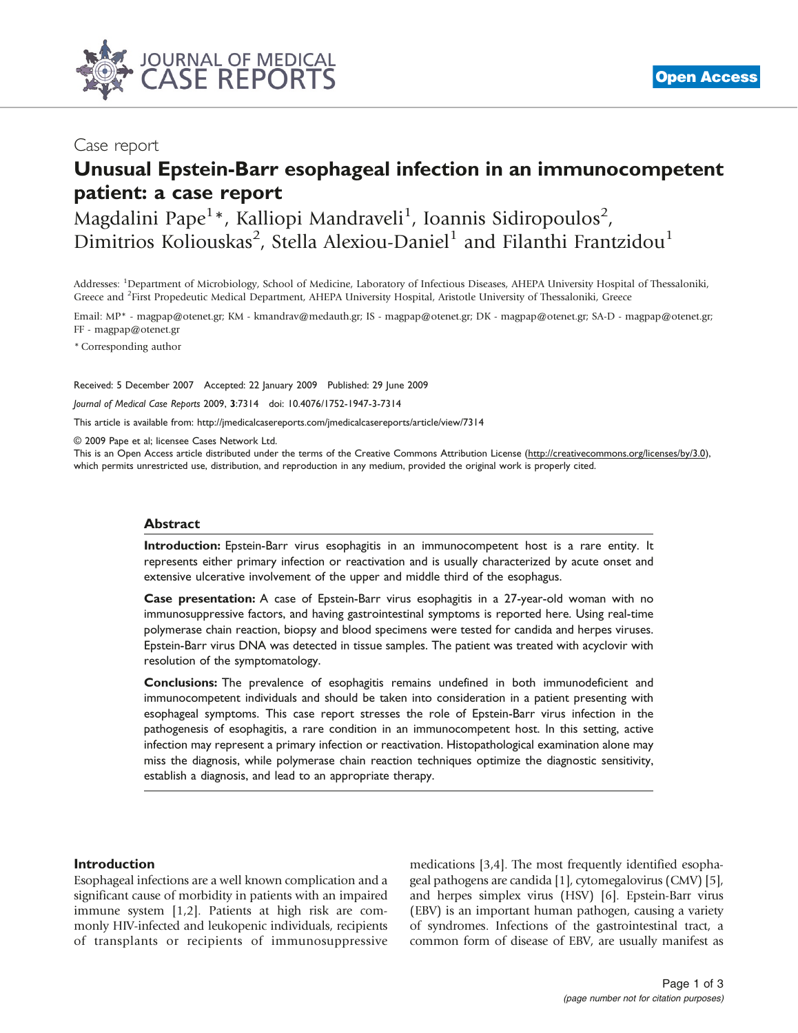

## Case report

# Unusual Epstein-Barr esophageal infection in an immunocompetent patient: a case report

Magdalini Pape<sup>1</sup>\*, Kalliopi Mandraveli<sup>1</sup>, Ioannis Sidiropoulos<sup>2</sup>, Dimitrios Koliouskas<sup>2</sup>, Stella Alexiou-Daniel<sup>1</sup> and Filanthi Frantzidou<sup>1</sup>

Addresses: <sup>1</sup>Department of Microbiology, School of Medicine, Laboratory of Infectious Diseases, AHEPA University Hospital of Thessaloniki, Greece and <sup>2</sup>First Propedeutic Medical Department, AHEPA University Hospital, Aristotle University of Thessaloniki, Greece

Email: MP\* - magpap@otenet.gr; KM - kmandrav@medauth.gr; IS - magpap@otenet.gr; DK - magpap@otenet.gr; SA-D - magpap@otenet.gr; FF - magpap@otenet.gr

\* Corresponding author

Received: 5 December 2007 Accepted: 22 January 2009 Published: 29 June 2009

Journal of Medical Case Reports 2009, 3:7314 doi: 10.4076/1752-1947-3-7314

This article is available from:<http://jmedicalcasereports.com/jmedicalcasereports/article/view/7314>

© 2009 Pape et al; licensee Cases Network Ltd.

This is an Open Access article distributed under the terms of the Creative Commons Attribution License [\(http://creativecommons.org/licenses/by/3.0\)](http://creativecommons.org/licenses/by/3.0), which permits unrestricted use, distribution, and reproduction in any medium, provided the original work is properly cited.

#### Abstract

Introduction: Epstein-Barr virus esophagitis in an immunocompetent host is a rare entity. It represents either primary infection or reactivation and is usually characterized by acute onset and extensive ulcerative involvement of the upper and middle third of the esophagus.

Case presentation: A case of Epstein-Barr virus esophagitis in a 27-year-old woman with no immunosuppressive factors, and having gastrointestinal symptoms is reported here. Using real-time polymerase chain reaction, biopsy and blood specimens were tested for candida and herpes viruses. Epstein-Barr virus DNA was detected in tissue samples. The patient was treated with acyclovir with resolution of the symptomatology.

Conclusions: The prevalence of esophagitis remains undefined in both immunodeficient and immunocompetent individuals and should be taken into consideration in a patient presenting with esophageal symptoms. This case report stresses the role of Epstein-Barr virus infection in the pathogenesis of esophagitis, a rare condition in an immunocompetent host. In this setting, active infection may represent a primary infection or reactivation. Histopathological examination alone may miss the diagnosis, while polymerase chain reaction techniques optimize the diagnostic sensitivity, establish a diagnosis, and lead to an appropriate therapy.

#### Introduction

Esophageal infections are a well known complication and a significant cause of morbidity in patients with an impaired immune system [[1,2\]](#page-1-0). Patients at high risk are commonly HIV-infected and leukopenic individuals, recipients of transplants or recipients of immunosuppressive medications [\[3,4](#page-2-0)]. The most frequently identified esophageal pathogens are candida [\[1](#page-1-0)], cytomegalovirus (CMV) [[5](#page-2-0)], and herpes simplex virus (HSV) [[6\]](#page-2-0). Epstein-Barr virus (EBV) is an important human pathogen, causing a variety of syndromes. Infections of the gastrointestinal tract, a common form of disease of EBV, are usually manifest as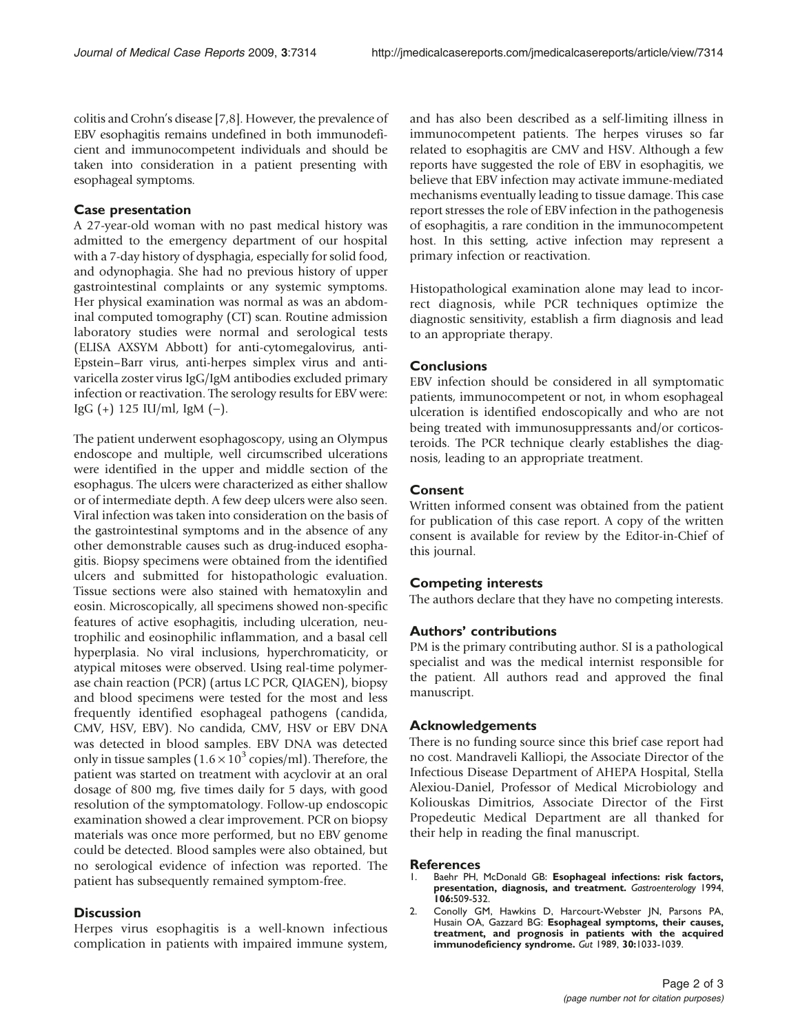<span id="page-1-0"></span>colitis and Crohn's disease [\[7](#page-2-0),[8](#page-2-0)]. However, the prevalence of EBV esophagitis remains undefined in both immunodeficient and immunocompetent individuals and should be taken into consideration in a patient presenting with esophageal symptoms.

#### Case presentation

A 27-year-old woman with no past medical history was admitted to the emergency department of our hospital with a 7-day history of dysphagia, especially for solid food, and odynophagia. She had no previous history of upper gastrointestinal complaints or any systemic symptoms. Her physical examination was normal as was an abdominal computed tomography (CT) scan. Routine admission laboratory studies were normal and serological tests (ELISA AXSYM Abbott) for anti-cytomegalovirus, anti-Epstein–Barr virus, anti-herpes simplex virus and antivaricella zoster virus IgG/IgM antibodies excluded primary infection or reactivation. The serology results for EBV were: IgG  $(+)$  125 IU/ml, IgM  $(-)$ .

The patient underwent esophagoscopy, using an Olympus endoscope and multiple, well circumscribed ulcerations were identified in the upper and middle section of the esophagus. The ulcers were characterized as either shallow or of intermediate depth. A few deep ulcers were also seen. Viral infection was taken into consideration on the basis of the gastrointestinal symptoms and in the absence of any other demonstrable causes such as drug-induced esophagitis. Biopsy specimens were obtained from the identified ulcers and submitted for histopathologic evaluation. Tissue sections were also stained with hematoxylin and eosin. Microscopically, all specimens showed non-specific features of active esophagitis, including ulceration, neutrophilic and eosinophilic inflammation, and a basal cell hyperplasia. No viral inclusions, hyperchromaticity, or atypical mitoses were observed. Using real-time polymerase chain reaction (PCR) (artus LC PCR, QIAGEN), biopsy and blood specimens were tested for the most and less frequently identified esophageal pathogens (candida, CMV, HSV, EBV). No candida, CMV, HSV or EBV DNA was detected in blood samples. EBV DNA was detected only in tissue samples  $(1.6 \times 10^3 \text{ copies/ml})$ . Therefore, the patient was started on treatment with acyclovir at an oral dosage of 800 mg, five times daily for 5 days, with good resolution of the symptomatology. Follow-up endoscopic examination showed a clear improvement. PCR on biopsy materials was once more performed, but no EBV genome could be detected. Blood samples were also obtained, but no serological evidence of infection was reported. The patient has subsequently remained symptom-free.

## **Discussion**

Herpes virus esophagitis is a well-known infectious complication in patients with impaired immune system, and has also been described as a self-limiting illness in immunocompetent patients. The herpes viruses so far related to esophagitis are CMV and HSV. Although a few reports have suggested the role of EBV in esophagitis, we believe that EBV infection may activate immune-mediated mechanisms eventually leading to tissue damage. This case report stresses the role of EBV infection in the pathogenesis of esophagitis, a rare condition in the immunocompetent host. In this setting, active infection may represent a primary infection or reactivation.

Histopathological examination alone may lead to incorrect diagnosis, while PCR techniques optimize the diagnostic sensitivity, establish a firm diagnosis and lead to an appropriate therapy.

#### **Conclusions**

EBV infection should be considered in all symptomatic patients, immunocompetent or not, in whom esophageal ulceration is identified endoscopically and who are not being treated with immunosuppressants and/or corticosteroids. The PCR technique clearly establishes the diagnosis, leading to an appropriate treatment.

#### Consent

Written informed consent was obtained from the patient for publication of this case report. A copy of the written consent is available for review by the Editor-in-Chief of this journal.

#### Competing interests

The authors declare that they have no competing interests.

## Authors' contributions

PM is the primary contributing author. SI is a pathological specialist and was the medical internist responsible for the patient. All authors read and approved the final manuscript.

#### Acknowledgements

There is no funding source since this brief case report had no cost. Mandraveli Kalliopi, the Associate Director of the Infectious Disease Department of AHEPA Hospital, Stella Alexiou-Daniel, Professor of Medical Microbiology and Koliouskas Dimitrios, Associate Director of the First Propedeutic Medical Department are all thanked for their help in reading the final manuscript.

#### References

- Baehr PH, McDonald GB: Esophageal infections: risk factors, presentation, diagnosis, and treatment. Gastroenterology 1994, 106:509-532.
- 2. Conolly GM, Hawkins D, Harcourt-Webster JN, Parsons PA, Husain OA, Gazzard BG: Esophageal symptoms, their causes, treatment, and prognosis in patients with the acquired immunodeficiency syndrome. Gut 1989, 30:1033-1039.